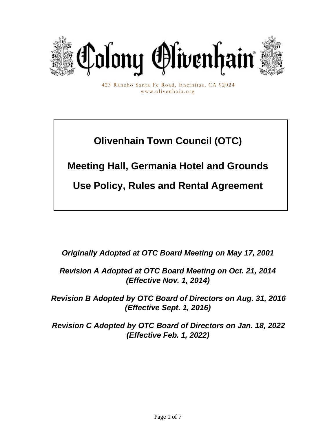

423 Rancho Santa Fe Road, Encinitas, CA 92024 www.olivenhain.org

# **Olivenhain Town Council (OTC)**

**Meeting Hall, Germania Hotel and Grounds**

**Use Policy, Rules and Rental Agreement**

*Originally Adopted at OTC Board Meeting on May 17, 2001*

*Revision A Adopted at OTC Board Meeting on Oct. 21, 2014 (Effective Nov. 1, 2014)*

*Revision B Adopted by OTC Board of Directors on Aug. 31, 2016 (Effective Sept. 1, 2016)*

*Revision C Adopted by OTC Board of Directors on Jan. 18, 2022 (Effective Feb. 1, 2022)*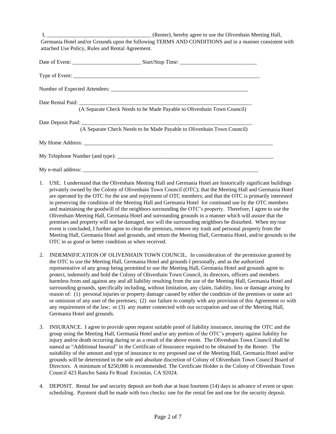I, and the same of the Clifford Chertage (Renter), hereby agree to use the Olivenhain Meeting Hall, Germania Hotel and/or Grounds upon the following TERMS AND CONDITIONS and in a manner consistent with attached Use Policy, Rules and Rental Agreement.

| (A Separate Check Needs to be Made Payable to Olivenhain Town Council) |
|------------------------------------------------------------------------|
| (A Separate Check Needs to be Made Payable to Olivenhain Town Council) |
|                                                                        |
|                                                                        |
|                                                                        |

- 1. USE. I understand that the Olivenhain Meeting Hall and Germania Hotel are historically significant buildings privately owned by the Colony of Olivenhain Town Council (OTC); that the Meeting Hall and Germania Hotel are operated by the OTC for the use and enjoyment of OTC members; and that the OTC is primarily interested in preserving the condition of the Meeting Hall and Germania Hotel for continued use by the OTC members and maintaining the goodwill of the neighbors surrounding the OTC's property. Therefore, I agree to use the Olivenhain Meeting Hall, Germania Hotel and surrounding grounds in a manner which will assure that the premises and property will not be damaged, nor will the surrounding neighbors be disturbed. When my/our event is concluded, I further agree to clean the premises, remove my trash and personal property from the Meeting Hall, Germania Hotel and grounds, and return the Meeting Hall, Germania Hotel, and/or grounds to the OTC in as good or better condition as when received.
- 2. INDEMNIFICATION OF OLIVENHAIN TOWN COUNCIL. In consideration of the permission granted by the OTC to use the Meeting Hall, Germania Hotel and grounds I personally, and as the authorized representative of any group being permitted to use the Meeting Hall, Germania Hotel and grounds agree to protect, indemnify and hold the Colony of Olivenhain Town Council, its directors, officers and members harmless from and against any and all liability resulting from the use of the Meeting Hall, Germania Hotel and surrounding grounds, specifically including, without limitation, any claim, liability, loss or damage arising by reason of: (1) personal injuries or property damage caused by either the condition of the premises or some act or omission of any user of the premises; (2) our failure to comply with any provision of this Agreement or with any requirement of the law; or (3) any matter connected with our occupation and use of the Meeting Hall, Germania Hotel and grounds.
- 3. INSURANCE. I agree to provide upon request suitable proof of liability insurance, insuring the OTC and the group using the Meeting Hall, Germania Hotel and/or any portion of the OTC's property against liability for injury and/or death occurring during or as a result of the above event. The Olivenhain Town Council shall be named as "Additional Insured" in the Certificate of Insurance required to be obtained by the Renter. The suitability of the amount and type of insurance to my proposed use of the Meeting Hall, Germania Hotel and/or grounds will be determined in the sole and absolute discretion of Colony of Olivenhain Town Council Board of Directors. A minimum of \$250,000 is recommended. The Certificate Holder is the Colony of Olivenhain Town Council 423 Rancho Santa Fe Road Encinitas, CA 92024.
- 4. DEPOSIT. Rental fee and security deposit are both due at least fourteen (14) days in advance of event or upon scheduling. Payment shall be made with two checks: one for the rental fee and one for the security deposit.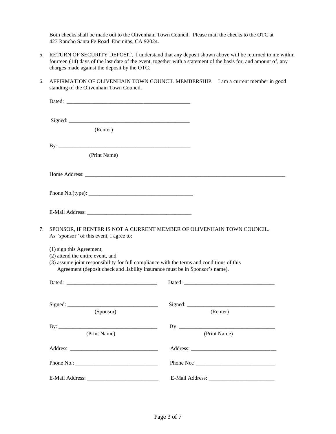Both checks shall be made out to the Olivenhain Town Council. Please mail the checks to the OTC at 423 Rancho Santa Fe Road Encinitas, CA 92024.

- 5. RETURN OF SECURITY DEPOSIT. I understand that any deposit shown above will be returned to me within fourteen (14) days of the last date of the event, together with a statement of the basis for, and amount of, any charges made against the deposit by the OTC.
- 6. AFFIRMATION OF OLIVENHAIN TOWN COUNCIL MEMBERSHIP. I am a current member in good standing of the Olivenhain Town Council.

| (Renter)                                                                                                                                                                                                                                  |                                                                        |
|-------------------------------------------------------------------------------------------------------------------------------------------------------------------------------------------------------------------------------------------|------------------------------------------------------------------------|
| $\mathbf{B} \mathbf{y}$ :                                                                                                                                                                                                                 |                                                                        |
| (Print Name)                                                                                                                                                                                                                              |                                                                        |
|                                                                                                                                                                                                                                           |                                                                        |
|                                                                                                                                                                                                                                           |                                                                        |
|                                                                                                                                                                                                                                           |                                                                        |
| 7.<br>As "sponsor" of this event, I agree to:                                                                                                                                                                                             | SPONSOR, IF RENTER IS NOT A CURRENT MEMBER OF OLIVENHAIN TOWN COUNCIL. |
| (1) sign this Agreement,<br>(2) attend the entire event, and<br>(3) assume joint responsibility for full compliance with the terms and conditions of this<br>Agreement (deposit check and liability insurance must be in Sponsor's name). |                                                                        |
| Dated: the contract of the contract of the contract of the contract of the contract of the contract of the contract of the contract of the contract of the contract of the contract of the contract of the contract of the con            |                                                                        |
| (Sponsor)                                                                                                                                                                                                                                 | (Renter)                                                               |
| (Print Name)                                                                                                                                                                                                                              | (Print Name)                                                           |
|                                                                                                                                                                                                                                           |                                                                        |
|                                                                                                                                                                                                                                           |                                                                        |
|                                                                                                                                                                                                                                           |                                                                        |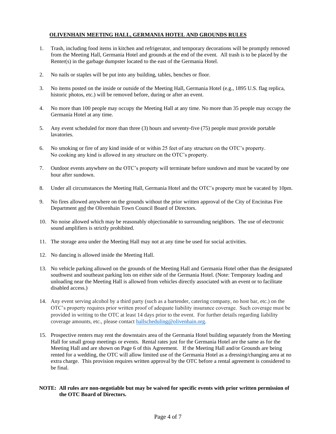## **OLIVENHAIN MEETING HALL, GERMANIA HOTEL AND GROUNDS RULES**

- 1. Trash, including food items in kitchen and refrigerator, and temporary decorations will be promptly removed from the Meeting Hall, Germania Hotel and grounds at the end of the event. All trash is to be placed by the Renter(s) in the garbage dumpster located to the east of the Germania Hotel.
- 2. No nails or staples will be put into any building, tables, benches or floor.
- 3. No items posted on the inside or outside of the Meeting Hall, Germania Hotel (e.g., 1895 U.S. flag replica, historic photos, etc.) will be removed before, during or after an event.
- 4. No more than 100 people may occupy the Meeting Hall at any time. No more than 35 people may occupy the Germania Hotel at any time.
- 5. Any event scheduled for more than three (3) hours and seventy-five (75) people must provide portable lavatories.
- 6. No smoking or fire of any kind inside of or within 25 feet of any structure on the OTC's property. No cooking any kind is allowed in any structure on the OTC's property.
- 7. Outdoor events anywhere on the OTC's property will terminate before sundown and must be vacated by one hour after sundown.
- 8. Under all circumstances the Meeting Hall, Germania Hotel and the OTC's property must be vacated by 10pm.
- 9. No fires allowed anywhere on the grounds without the prior written approval of the City of Encinitas Fire Department and the Olivenhain Town Council Board of Directors.
- 10. No noise allowed which may be reasonably objectionable to surrounding neighbors. The use of electronic sound amplifiers is strictly prohibited.
- 11. The storage area under the Meeting Hall may not at any time be used for social activities.
- 12. No dancing is allowed inside the Meeting Hall.
- 13. No vehicle parking allowed on the grounds of the Meeting Hall and Germania Hotel other than the designated southwest and southeast parking lots on either side of the Germania Hotel. (Note: Temporary loading and unloading near the Meeting Hall is allowed from vehicles directly associated with an event or to facilitate disabled access.)
- 14. Any event serving alcohol by a third party (such as a bartender, catering company, no host bar, etc.) on the OTC's property requires prior written proof of adequate liability insurance coverage. Such coverage must be provided in writing to the OTC at least 14 days prior to the event. For further details regarding liability coverage amounts, etc., please contact hallscheduling@olivenhain.org.
- 15. Prospective renters may rent the downstairs area of the Germania Hotel building separately from the Meeting Hall for small group meetings or events. Rental rates just for the Germania Hotel are the same as for the Meeting Hall and are shown on Page 6 of this Agreement. If the Meeting Hall and/or Grounds are being rented for a wedding, the OTC will allow limited use of the Germania Hotel as a dressing/changing area at no extra charge. This provision requires written approval by the OTC before a rental agreement is considered to be final.

**NOTE: All rules are non-negotiable but may be waived for specific events with prior written permission of the OTC Board of Directors.**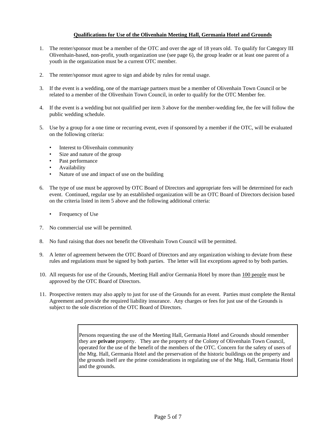## **Qualifications for Use of the Olivenhain Meeting Hall, Germania Hotel and Grounds**

- 1. The renter/sponsor must be a member of the OTC and over the age of 18 years old. To qualify for Category III Olivenhain-based, non-profit, youth organization use (see page 6), the group leader or at least one parent of a youth in the organization must be a current OTC member.
- 2. The renter/sponsor must agree to sign and abide by rules for rental usage.
- 3. If the event is a wedding, one of the marriage partners must be a member of Olivenhain Town Council or be related to a member of the Olivenhain Town Council, in order to qualify for the OTC Member fee.
- 4. If the event is a wedding but not qualified per item 3 above for the member-wedding fee, the fee will follow the public wedding schedule.
- 5. Use by a group for a one time or recurring event, even if sponsored by a member if the OTC, will be evaluated on the following criteria:
	- Interest to Olivenhain community
	- Size and nature of the group
	- Past performance
	- Availability
	- Nature of use and impact of use on the building
- 6. The type of use must be approved by OTC Board of Directors and appropriate fees will be determined for each event. Continued, regular use by an established organization will be an OTC Board of Directors decision based on the criteria listed in item 5 above and the following additional criteria:
	- Frequency of Use
- 7. No commercial use will be permitted.
- 8. No fund raising that does not benefit the Olivenhain Town Council will be permitted.
- 9. A letter of agreement between the OTC Board of Directors and any organization wishing to deviate from these rules and regulations must be signed by both parties. The letter will list exceptions agreed to by both parties.
- 10. All requests for use of the Grounds, Meeting Hall and/or Germania Hotel by more than 100 people must be approved by the OTC Board of Directors.
- 11. Prospective renters may also apply to just for use of the Grounds for an event. Parties must complete the Rental Agreement and provide the required liability insurance. Any charges or fees for just use of the Grounds is subject to the sole discretion of the OTC Board of Directors.

Persons requesting the use of the Meeting Hall, Germania Hotel and Grounds should remember they are **private** property. They are the property of the Colony of Olivenhain Town Council, operated for the use of the benefit of the members of the OTC. Concern for the safety of users of the Mtg. Hall, Germania Hotel and the preservation of the historic buildings on the property and the grounds itself are the prime considerations in regulating use of the Mtg. Hall, Germania Hotel and the grounds.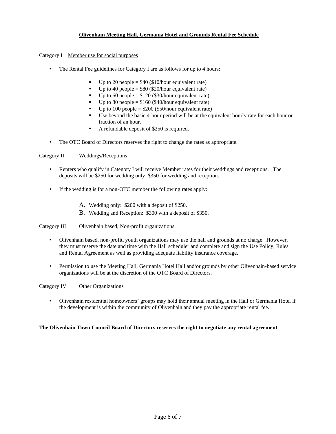## **Olivenhain Meeting Hall, Germania Hotel and Grounds Rental Fee Schedule**

#### Category I Member use for social purposes

- The Rental Fee guidelines for Category I are as follows for up to 4 hours:
	- Up to 20 people  $= $40$  (\$10/hour equivalent rate)
	- $\bullet$  Up to 40 people = \$80 (\$20/hour equivalent rate)
	- Up to 60 people =  $$120$  (\$30/hour equivalent rate)
	- Up to 80 people =  $$160$  (\$40/hour equivalent rate)
	- Up to 100 people =  $$200$  (\$50/hour equivalent rate)
	- Use beyond the basic 4-hour period will be at the equivalent hourly rate for each hour or fraction of an hour.
	- A refundable deposit of \$250 is required.
- The OTC Board of Directors reserves the right to change the rates as appropriate.

#### Category II Weddings/Receptions

- Renters who qualify in Category I will receive Member rates for their weddings and receptions. The deposits will be \$250 for wedding only, \$350 for wedding and reception.
- If the wedding is for a non-OTC member the following rates apply:
	- A. Wedding only: \$200 with a deposit of \$250.
	- B. Wedding and Reception: \$300 with a deposit of \$350.

#### Category III Olivenhain based, Non-profit organizations.

- Olivenhain based, non-profit, youth organizations may use the hall and grounds at no charge. However, they must reserve the date and time with the Hall scheduler and complete and sign the Use Policy, Rules and Rental Agreement as well as providing adequate liability insurance coverage.
- Permission to use the Meeting Hall, Germania Hotel Hall and/or grounds by other Olivenhain-based service organizations will be at the discretion of the OTC Board of Directors.

Category IV Other Organizations

• Olivenhain residential homeowners' groups may hold their annual meeting in the Hall or Germania Hotel if the development is within the community of Olivenhain and they pay the appropriate rental fee.

#### **The Olivenhain Town Council Board of Directors reserves the right to negotiate any rental agreement**.